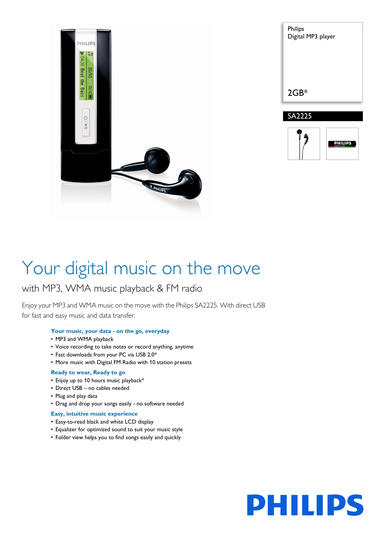

| Philips<br>Digital MP3 player |
|-------------------------------|
| $2GB*$                        |
| SA2225<br>A                   |



# Your digital music on the move

### with MP3, WMA music playback & FM radio

Enjoy your MP3 and WMA music on the move with the Philips SA2225. With direct USB for fast and easy music and data transfer.

#### **Your music, your data - on the go, everyday**

- MP3 and WMA playback
- Voice recording to take notes or record anything, anytime
- Fast downloads from your PC via USB 2.0\*
- More music with Digital FM Radio with 10 station presets

#### **Ready to wear, Ready to go**

- Enjoy up to 10 hours music playback\*
- Direct USB no cables needed
- Plug and play data
- Drag and drop your songs easily no software needed

#### **Easy, intuitive music experience**

- Easy-to-read black and white LCD display
- Equalizer for optimized sound to suit your music style
- Folder view helps you to find songs easily and quickly